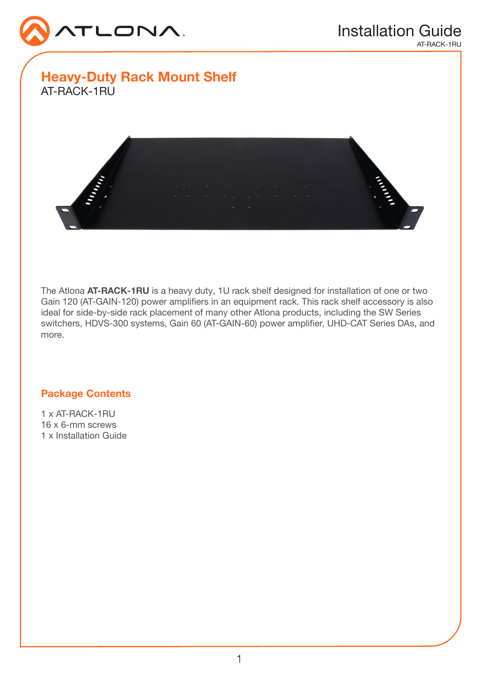

Heavy-Duty Rack Mount Shelf AT-RACK-1RU



The Atlona AT-RACK-1RU is a heavy duty, 1U rack shelf designed for installation of one or two Gain 120 (AT-GAIN-120) power amplifiers in an equipment rack. This rack shelf accessory is also ideal for side-by-side rack placement of many other Atlona products, including the SW Series switchers, HDVS-300 systems, Gain 60 (AT-GAIN-60) power amplifier, UHD-CAT Series DAs, and more.

## Package Contents

1 x AT-RACK-1RU 16 x 6-mm screws 1 x Installation Guide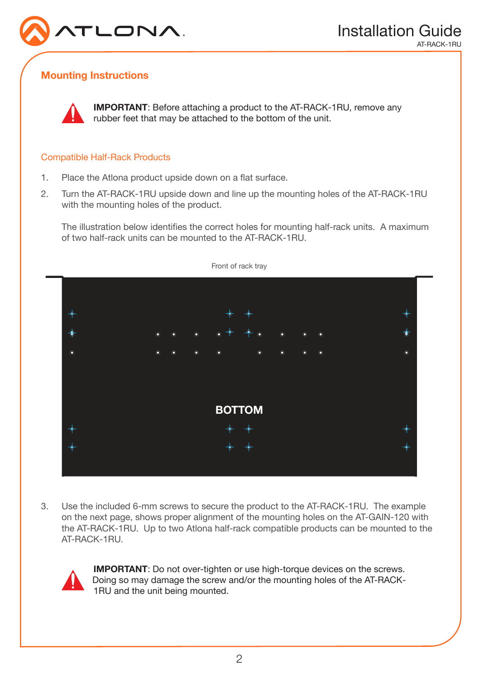

# Mounting Instructions



IMPORTANT: Before attaching a product to the AT-RACK-1RU, remove any rubber feet that may be attached to the bottom of the unit.

### Compatible Half-Rack Products

- 1. Place the Atlona product upside down on a flat surface.
- 2. Turn the AT-RACK-1RU upside down and line up the mounting holes of the AT-RACK-1RU with the mounting holes of the product.

The illustration below identifies the correct holes for mounting half-rack units. A maximum of two half-rack units can be mounted to the AT-RACK-1RU.



3. Use the included 6-mm screws to secure the product to the AT-RACK-1RU. The example on the next page, shows proper alignment of the mounting holes on the AT-GAIN-120 with the AT-RACK-1RU. Up to two Atlona half-rack compatible products can be mounted to the AT-RACK-1RU.



**IMPORTANT:** Do not over-tighten or use high-torque devices on the screws. Doing so may damage the screw and/or the mounting holes of the AT-RACK-1RU and the unit being mounted.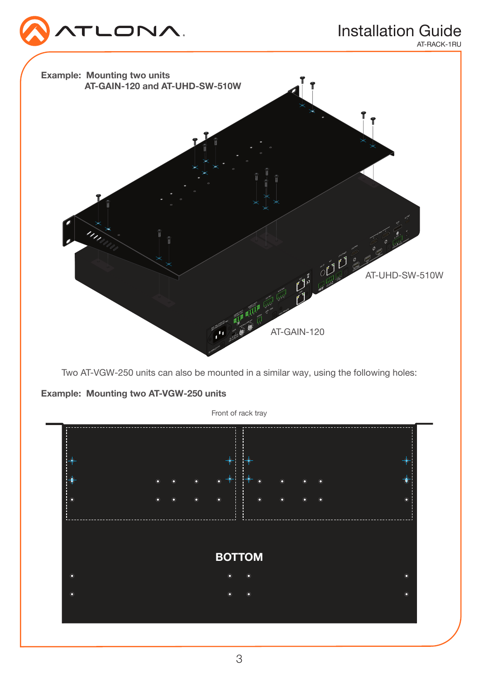

# Installation Guide

AT-RACK-1RU



Two AT-VGW-250 units can also be mounted in a similar way, using the following holes:

Example: Mounting two AT-VGW-250 units

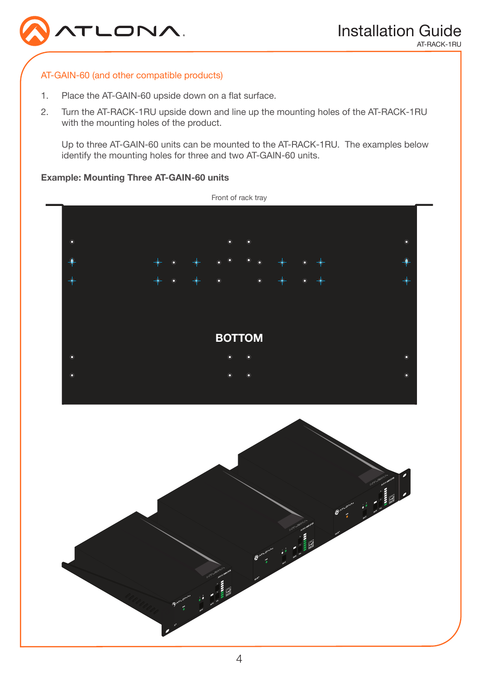

### AT-GAIN-60 (and other compatible products)

- 1. Place the AT-GAIN-60 upside down on a flat surface.
- 2. Turn the AT-RACK-1RU upside down and line up the mounting holes of the AT-RACK-1RU with the mounting holes of the product.

Up to three AT-GAIN-60 units can be mounted to the AT-RACK-1RU. The examples below identify the mounting holes for three and two AT-GAIN-60 units.

### Example: Mounting Three AT-GAIN-60 units



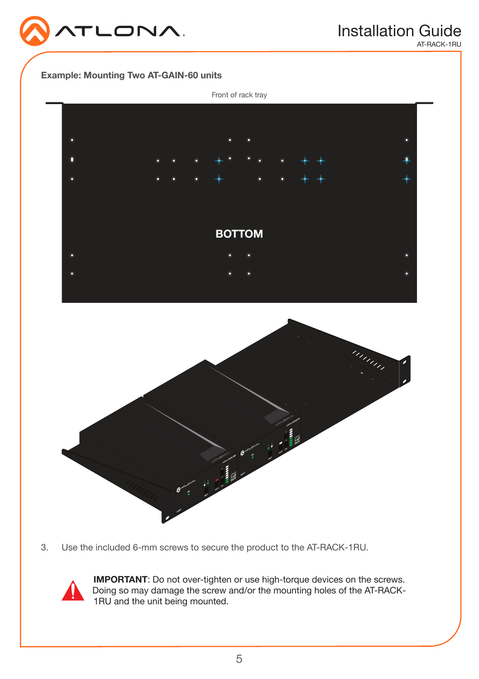

AT-RACK-1RU





3. Use the included 6-mm screws to secure the product to the AT-RACK-1RU.



IMPORTANT: Do not over-tighten or use high-torque devices on the screws. Doing so may damage the screw and/or the mounting holes of the AT-RACK-1RU and the unit being mounted.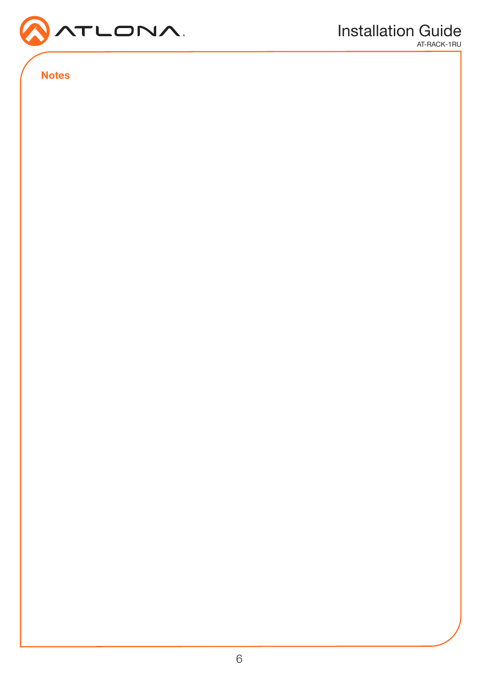

Notes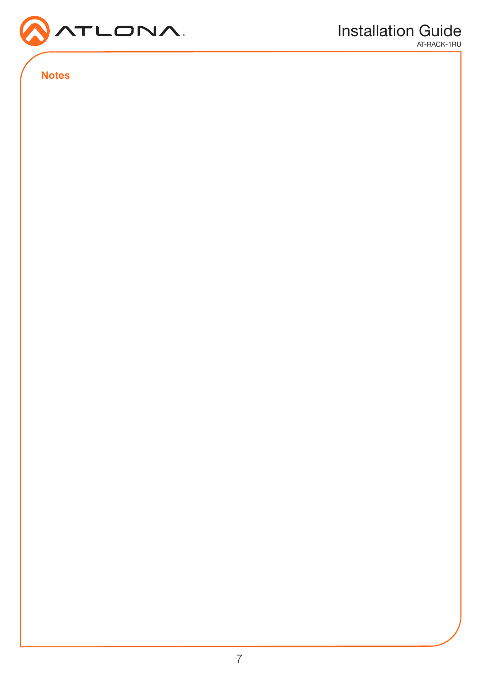

Notes